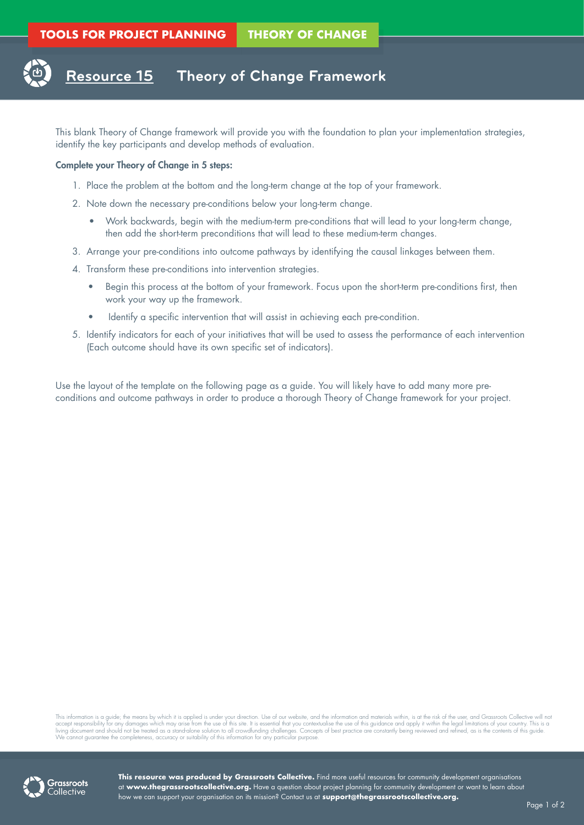## **Resource 15 Theory of Change Framework**

This blank Theory of Change framework will provide you with the foundation to plan your implementation strategies, identify the key participants and develop methods of evaluation.

## Complete your Theory of Change in 5 steps:

- 1. Place the problem at the bottom and the long-term change at the top of your framework.
- 2. Note down the necessary pre-conditions below your long-term change.
	- Work backwards, begin with the medium-term pre-conditions that will lead to your long-term change, then add the short-term preconditions that will lead to these medium-term changes.
- 3. Arrange your pre-conditions into outcome pathways by identifying the causal linkages between them.
- 4. Transform these pre-conditions into intervention strategies.
	- Begin this process at the bottom of your framework. Focus upon the short-term pre-conditions first, then work your way up the framework.
	- Identify a specific intervention that will assist in achieving each pre-condition.
- 5. Identify indicators for each of your initiatives that will be used to assess the performance of each intervention (Each outcome should have its own specific set of indicators).

Use the layout of the template on the following page as a guide. You will likely have to add many more preconditions and outcome pathways in order to produce a thorough Theory of Change framework for your project.

This information is a guide; the means by which it is applied is under your direction. Use of our website, and the information and materials within, is at the risk of the user, and Grassroots Collective will not and the in



**This resource was produced by Grassroots Collective.** Find more useful resources for community development organisations at **www.thegrassrootscollective.org.** Have a question about project planning for community development or want to learn about how we can support your organisation on its mission? Contact us at **support@thegrassrootscollective.org.**